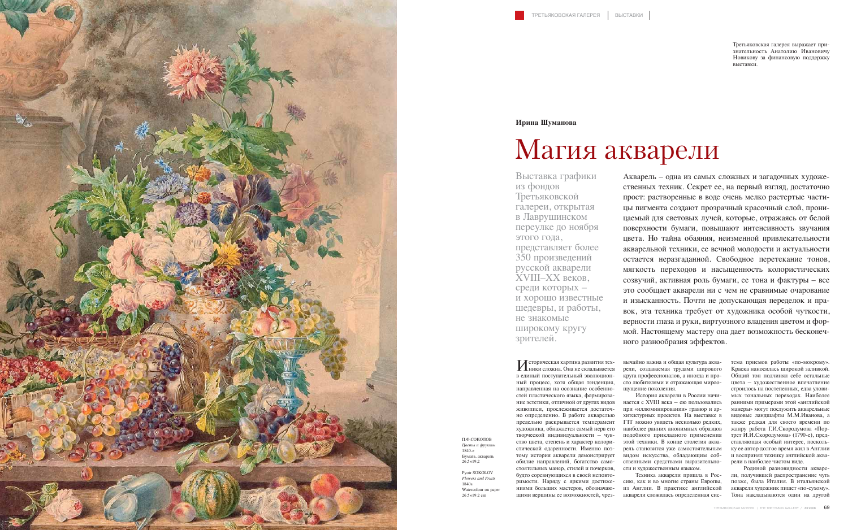Историческая картина развития тех-ники сложна. Она не складывается в единый поступательный эволюционный процесс, хотя общая тенденция, направленная на осознание особенностей пластического языка, формирование эстетики, отличной от других видов живописи, прослеживается достаточно определенно. В работе акварелью предельно раскрывается темперамент художника, обнажается самый нерв его творческой индивидуальности – чувство цвета, степень и характер колористической одаренности. Именно поэтому история акварели демонстрирует обилие направлений, богатство самостоятельных манер, стилей и почерков, будто соревнующихся в своей неповторимости. Наряду с яркими достижениями больших мастеров, обозначающими вершины ее возможностей, чрезвычайно важна и общая культура акварели, создаваемая трудами широкого круга профессионалов, а иногда и просто любителями и отражающая мироощущение поколения.

История акварели в России начинается с ХVIII века – ею пользовались при «иллюминировании» гравюр и архитектурных проектов. На выставке в ГТГ можно увидеть несколько редких, наиболее ранних анонимных образцов подобного прикладного применения этой техники. В конце столетия акварель становится уже самостоятельным видом искусства, обладающим собственными средствами выразительности и художественным языком.

Техника акварели пришла в Россию, как и во многие страны Европы, из Англии. В практике английской акварели сложилась определенная система приемов работы «по-мокрому». Краска наносилась широкой заливкой. Общий тон подчинял себе остальные цвета – художественное впечатление строилось на постепенных, едва уловимых тональных переходах. Наиболее ранними примерами этой «английской манеры» могут послужить акварельные видовые ландшафты М.М.Иванова, а также редкая для своего времени по жанру работа Г.И.Скородумова «Портрет И.И.Скородумова» (1790-е), представляющая особый интерес, поскольку ее автор долгое время жил в Англии и воспринял технику английской акварели в наиболее чистом виде.

Родиной разновидности акварели, получившей распространение чуть позже, была Италия. В итальянской акварели художник пишет «по-сухому». Тона накладываются один на другой

Акварель – одна из самых сложных и загадочных художественных техник. Секрет ее, на первый взгляд, достаточно прост: растворенные в воде очень мелко растертые частицы пигмента создают прозрачный красочный слой, проницаемый для световых лучей, которые, отражаясь от белой поверхности бумаги, повышают интенсивность звучания цвета. Но тайна обаяния, неизменной привлекательности акварельной техники, ее вечной молодости и актуальности остается неразгаданной. Свободное перетекание тонов, мягкость переходов и насыщенность колористических созвучий, активная роль бумаги, ее тона и фактуры – все это сообщает акварели ни с чем не сравнимые очарование и изысканность. Почти не допускающая переделок и правок, эта техника требует от художника особой чуткости, верности глаза и руки, виртуозного владения цветом и формой. Настоящему мастеру она дает возможность бесконечного разнообразия эффектов.

Выставка графики из фондов Третьяковской галереи, открытая в Лаврушинском переулке до ноября этого года, представляет более 350 произведений русской акварели XVIII–XX веков, среди которых – и хорошо известные шедевры, и работы, не знакомые широкому кругу зрителей.



### **Ирина Шуманова**

## Магия акварели

П.Ф.СОКОЛОВ *Цветы и фрукты* 1840-е Бумага, акварель 26,5×19,2

Pyotr SOKOLOV *Flowers and Fruits* 1840s Watercolour on paper 26.5×19.2 cm

Третьяковская галерея выражает признательность Анатолию Ивановичу Новикову за финансовую поддержку выставки.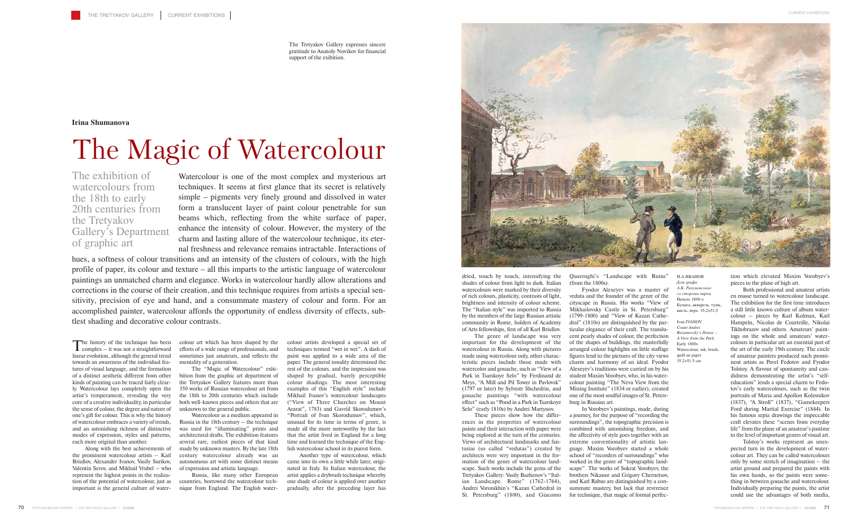The history of the technique has been<br>complex – it was not a straightforward linear evolution, although the general trend towards an awareness of the individual features of visual language, and the formation of a distinct aesthetic different from other kinds of painting can be traced fairly clearly. Watercolour lays completely open the artist's temperament, revealing the very core of a creative individuality, in particular the sense of colour, the degree and nature of one's gift for colour. This is why the history of watercolour embraces a variety of trends, and an astonishing richness of distinctive modes of expression, styles and patterns, each more original than another.

Along with the best achievements of the prominent watercolour artists – Karl Briullov, Alexander Ivanov, Vasily Surikov, Valentin Serov, and Mikhail Vrubel – who represent the highest points in the realization of the potential of watercolour, just as important is the general culture of water-

colour art which has been shaped by the efforts of a wide range of professionals, and sometimes just amateurs, and reflects the mentality of a generation.

The "Magic of Watercolour" exhibition from the graphic art department of the Tretyakov Gallery features more than 350 works of Russian watercolour art from the 18th to 20th centuries which include both well-known pieces and others that are unknown to the general public.

Watercolour as a medium appeared in Russia in the 18th century – the technique was used for "illuminating" prints and architectural drafts. The exhibition features several rare, earliest pieces of that kind made by unknown masters. By the late 18th century watercolour already was an autonomous art with some distinct means of expression and artistic language.

The genre of landscape was very important for the development of the watercolour in Russia. Along with pictures made using watercolour only, other characteristic pieces include those made with watercolor and gouache, such as "View of a Park in Tsarskoye Selo" by Ferdinand de Meys, "A Mill and Pil Tower in Pavlovsk" (1797 or later) by Sylvestr Shchedrin, and gouache paintings "with watercolour effect" such as "Pond in a Park in Tsarskoye Selo" (early 1810s) by Andrei Martynov.

Russia, like many other European countries, borrowed the watercolour technique from England. The English water-

colour artists developed a special set of techniques termed "wet in wet". A dash of paint was applied to a wide area of the paper. The general tonality determined the rest of the colours, and the impression was shaped by gradual, barely perceptible colour shadings. The most interesting examples of this "English style" include Mikhail Ivanov's watercolour landscapes ("View of Three Churches on Mount Ararat", 1783) and Gavriil Skorodumov's "Portrait of Ivan Skorodumov", which, unusual for its time in terms of genre, is made all the more noteworthy by the fact that the artist lived in England for a long time and learned the technique of the English watercolour school in its purest form.

Another type of watercolour, which came into its own a little while later, originated in Italy. In Italian watercolour, the artist applies a drybrush technique whereby one shade of colour is applied over another gradually, after the preceding layer has



dried, touch by touch, intensifying the shades of colour from light to dark. Italian watercolours were marked by their diversity of rich colours, plasticity, contrasts of light, brightness and intensity of colour scheme. The "Italian style" was imported to Russia by the members of the large Russian artistic community in Rome, holders of Academy of Arts fellowships, first of all Karl Briullov.

Quarenghi's "Landscape with Ruins" (from the 1800s).

Fyodor Alexeyev was a master of veduta and the founder of the genre of the cityscape in Russia. His works "View of Mikhailovsky Castle in St. Petersburg" (1799-1800) and "View of Kazan Cathedral" (1810s) are distinguished by the particular elegance of their craft. The translucent pearly shades of colour, the perfection of the shapes of buildings, the masterfully arranged colour highlights on little staffage figures lend to the pictures of the city views charm and harmony of an ideal. Fyodor Alexeyev's traditions were carried on by his student Maxim Vorobyev, who, in his watercolour painting "The Neva View from the Mining Institute" (1834 or earlier), created one of the most soulful images of St. Petersburg in Russian art.

These pieces show how the differences in the properties of watercolour paints and their interaction with paper were being explored at the turn of the centuries. Views of architectural landmarks and fantasias (so called "vedutas") created by architects were very important in the formation of the genre of watercolour landscape. Such works include the gems of the Tretyakov Gallery: Vasily Bazhenov's "Italian Landscape. Rome" (1762-1764), Andrei Voronikhin's "Kazan Cathedral in St. Petersburg" (1800), and Giacomo In Vorobyev's paintings, made, during a journey, for the purpose of "recording the surroundings", the topographic precision is combined with astonishing freedom, and the affectivity of style goes together with an extreme conventionality of artistic language. Maxim Vorobyev started a whole school of "recorders of surroundings" who worked in the genre of "topographic landscape". The works of Sokrat Vorobyev, the brothers Nikanor and Grigory Chernetsov, and Karl Rabus are distinguished by a consummate mastery, but lack that reverence for technique, that magic of formal perfection which elevated Maxim Vorobyev's pieces to the plane of high art.

Both professional and amateur artists en masse turned to watercolour landscape. The exhibition for the first time introduces a still little known culture of album watercolour – pieces by Karl Kolman, Karl Hampeln, Nicolas de Courteille, Nikolai Tikhobrazov and others. Amateurs' paintings on the whole and amateurs' watercolours in particular are an essential part of the art of the early 19th century. The circle of amateur painters produced such prominent artists as Pavel Fedotov and Fyodor Tolstoy. A flavour of spontaneity and candidness demonstrating the artist's "selfeducation" lends a special charm to Fedotov's early watercolours, such as the twin portraits of Maria and Apollon Kolesnikov (1837), "A Stroll" (1837), "Gamekeepers Ford during Martial Exercise" (1844). In his famous sepia drawings the impeccable craft elevates these "scenes from everyday life" from the plane of an amateur's pastime to the level of important genres of visual art.

Tolstoy's works represent an unexpected turn in the development of watercolour art. They can be called watercolours only by some stretch of imagination – the artist ground and prepared the paints with his own hands, so the paints were something in between gouache and watercolour. Individually preparing the paints, the artist could use the advantages of both media,

## **Irina Shumanova**

# The Magic of Watercolour

Watercolour is one of the most complex and mysterious art techniques. It seems at first glance that its secret is relatively simple – pigments very finely ground and dissolved in water form a translucent layer of paint colour penetrable for sun beams which, reflecting from the white surface of paper, enhance the intensity of colour. However, the mystery of the charm and lasting allure of the watercolour technique, its eternal freshness and relevance remains intractable. Interactions of

hues, a softness of colour transitions and an intensity of the clusters of colours, with the high profile of paper, its colour and texture – all this imparts to the artistic language of watercolour paintings an unmatched charm and elegance. Works in watercolour hardly allow alterations and corrections in the course of their creation, and this technique requires from artists a special sensitivity, precision of eye and hand, and a consummate mastery of colour and form. For an accomplished painter, watercolour affords the opportunity of endless diversity of effects, subtlest shading and decorative colour contrasts.

The exhibition of watercolours from the 18th to early 20th centuries from the Tretyakov Gallery's Department of graphic art

> И.А.ИВАНОВ *Дом графа А.К. Разумовского со стороны парка* Начало 1800-х Бумага, акварель, тушь, кисть, перо. 35,2×51,5

Ivan IVANOV *Count Andrei Razumovsky's House – A View from the Park.* Early 1800s Watercolour, ink, brush, quill on paper 35.2×51.5 cm

The Tretyakov Gallery expresses sincere gratitude to Anatoly Novikov for financial support of the exibition.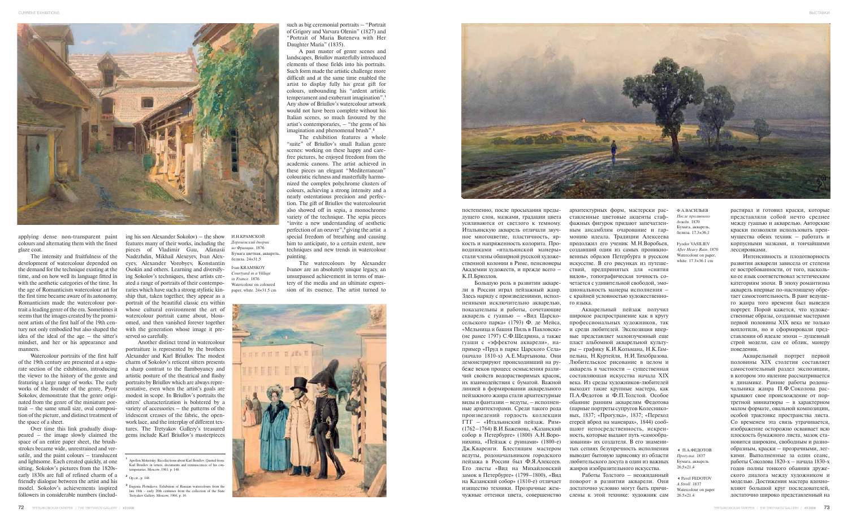

applying dense non-transparent paint colours and alternating them with the finest glaze coat.

The intensity and fruitfulness of the development of watercolour depended on the demand for the technique existing at the time, and on how well its language fitted in with the aesthetic categories of the time. In the age of Romanticism watercolour art for the first time became aware of its autonomy. Romanticism made the watercolour portrait a leading genre of the era. Sometimes it seems that the images created by the prominent artists of the first half of the 19th century not only embodied but also shaped the idea of the ideal of the age – the sitter's mindset, and her or his appearance and manners.

Watercolour portraits of the first half of the 19th century are presented at a separate section of the exhibition, introducing the viewer to the history of the genre and featuring a large range of works. The early works of the founder of the genre, Pyotr Sokolov, demonstrate that the genre originated from the genre of the miniature portrait – the same small size, oval composition of the picture, and distinct treatment of the space of a sheet.

Over time this link gradually disappeared – the image slowly claimed the space of an entire paper sheet, the brushstrokes became wide, unrestrained and versatile, and the paint colours – translucent and lightsome. Each created quickly, at one sitting, Sokolov's pictures from the 1820searly 1830s are full of refined charm of a friendly dialogue between the artist and his model. Sokolov's achievements inspired followers in considerable numbers (includ-

ing his son Alexander Sokolov) – the show features many of their works, including the pieces of Vladimir Gau, Afanasii Nadezhdin, Mikhail Alexeyev, Ivan Alexeyev, Alexander Vorobyev, Konstantin Osokin and others. Learning and diversifying Sokolov's techniques, these artists created a range of portraits of their contemporaries which have such a strong stylistic kinship that, taken together, they appear as a portrait of the beautiful classic era within whose cultural environment the art of watercolour portrait came about, blossomed, and then vanished forever together with the generation whose image it preserved so carefully.

Another distinct trend in watercolour portraiture is represented by the brothers Alexander and Karl Briullov. The modest charm of Sokolov's reticent sitters presents a sharp contrast to the flamboyancy and artistic posture of the theatrical and flashy portraits by Briullov which are always representative, even when the artist's goals are modest in scope. In Briullov's portraits the sitters' characterization is bolstered by a variety of accessories – the patterns of the iridescent creases of the fabric, the openwork lace, and the interplay of different textures. The Tretyakov Gallery's treasured gems include Karl Briullov's masterpieces

such as big ceremonial portraits – "Portrait of Grigory and Varvara Olenin" (1827) and "Portrait of Maria Buteneva with Her Daughter Maria" (1835).

A past master of genre scenes and landscapes, Briullov masterfully introduced elements of those fields into his portraits. Such form made the artistic challenge more difficult and at the same time enabled the artist to display fully his great gift for colours, unbounding his "ardent artistic temperament and exuberant imagination".**<sup>1</sup>** Any show of Briullov's watercolour artwork would not have been complete without his Italian scenes, so much favoured by the artist's contemporaries, – "the gems of his imagination and phenomenal brush".**<sup>2</sup>**

The exhibition features a whole "suite" of Briullov's small Italian genre scenes: working on these happy and carefree pictures, he enjoyed freedom from the academic canons. The artist achieved in these pieces an elegant "Mediterranean" colouristic richness and masterfully harmonized the complex polychrome clusters of colours, achieving a strong intensity and a nearly ostentatious precision and perfection. The gift of Briullov the watercolourist also showed off in sepia, a monochrome variety of the technique. The sepia pieces "invite a new understanding of aesthetic perfection of an oeuvre",**<sup>3</sup>** giving the artist a special freedom of breathing and causing him to anticipate, to a certain extent, new techniques and new trends in watercolour painting.

The watercolours by Alexander Ivanov are an absolutely unique legacy, an unsurpassed achievement in terms of mastery of the media and an ultimate expression of its essence. The artist turned to





постепенно, после просыхания предыдущего слоя, мазками, градации цвета усиливаются от светлого к темному. Итальянскую акварель отличали звучное многоцветие, пластичность, яркость и напряженность колорита. Проводниками «итальянской манеры» стали члены обширной русской художественной колонии в Риме, пенсионеры Академии художеств, и прежде всего – К.П.Брюллов.

Большую роль в развитии акварели в России играл пейзажный жанр. Здесь наряду с произведениями, исполненными исключительно акварелью, показательны и работы, сочетающие акварель с гуашью – «Вид Царскосельского парка» (1793) Ф. де Мейса, «Мельница и башня Пиль в Павловске» (не ранее 1797) С.Ф.Щедрина, а также гуаши с «эффектом акварели», например «Пруд в парке Царского Села» (начало 1810-х) А.Е.Мартынова. Они демонстрируют происходивший на рубеже веков процесс осмысления различий свойств водорастворимых красок, их взаимодействия с бумагой. Важной линией в формировании акварельного пейзажного жанра стали архитектурные виды и фантазии – ведуты, – исполненные архитекторами. Среди такого рода произведений гордость коллекции ГТГ – «Итальянский пейзаж. Рим» (1762–1764) В.И.Баженова, «Казанский собор в Петербурге» (1800) А.Н.Воронихина, «Пейзаж с руинами» (1800-е) Дж.Кваренги. Блестящим мастером ведуты, родоначальником городского пейзажа в России был Ф.Я.Алексеев. Его листы «Вид на Михайловский замок в Петербурге» (1799–1800), «Вид на Казанский собор» (1810-е) отличает изящество техники. Прозрачные жемчужные оттенки цвета, совершенство

архитектурных форм, мастерски расставленные цветовые акценты стаффажных фигурок придают запечатленным ансамблям очарование и гармонию идеала. Традиции Алексеева продолжил его ученик М.Н.Воробьев, создавший один из самых проникновенных образов Петербурга в русском искусстве. В его рисунках из путешествий, предпринятых для «снятия видов», топографическая точность сочетается с удивительной свободой, эмоциональность манеры исполнения – с крайней условностью художественного языка.

Акварельный пейзаж получил широкое распространение как в кругу профессиональных художников, так и среди любителей. Экспозиция впервые представляет малоизученный еще пласт альбомной акварельной культуры – графику К.И.Кольмана, Н.К.Гампельна, Н.Куртейля, Н.И.Тихобразова. Любительское рисование в целом и акварель в частности – существенная составляющая искусства начала XIX века. Из среды художников-любителей выходят такие крупные мастера, как П.А.Федотов и Ф.П.Толстой. Особое обаяние ранним акварелям Федотова (парные портреты супругов Колесниковых, 1837; «Прогулка», 1837; «Переход егерей вброд на маневрах», 1844) сообщают непосредственность, искренность, которые выдают путь «самообразования» их создателя. В его знаменитых сепиях безупречность исполнения выводит бытовую зарисовку из области любительского досуга в один из важных жанров изобразительного искусства.

Работы Толстого – неожиданный поворот в развитии акварели. Они достаточно условно могут быть причислены к этой технике: художник сам растирал и готовил краски, которые представляли собой нечто среднее между гуашью и акварелью. Авторские краски позволяли использовать преимущества обеих техник – работать и корпусными мазками, и тончайшими лессировками.

Интенсивность и плодотворность развития акварели зависела от степени ее востребованности, от того, насколько ее язык соответствовал эстетическим категориям эпохи. В эпоху романтизма акварель впервые по-настоящему обретает самостоятельность. В ранг ведущего жанра того времени был выведен портрет. Порой кажется, что художественные образы, созданные мастерами первой половины ХIХ века не только воплотили, но и сформировали представления об идеале эпохи – душевный строй модели, сам ее облик, манеру поведения.

Акварельный портрет первой половины ХIХ столетия составляет самостоятельный раздел экспозиции, в котором это явление рассматривается в динамике. Ранние работы родоначальника жанра П.Ф.Соколова раскрывают свое происхождение от портретной миниатюры – в характерном малом формате, овальной композиции, особой трактовке пространства листа. Со временем эта связь утрачивается, изображение осторожно осваивает всю плоскость бумажного листа, мазок становится широким, свободным и разнообразным, краски – прозрачными, легкими. Выполненные за один сеанс, работы Соколова 1820-х – начала 1830-х годов полны тонкого обаяния дружеского диалога между художником и моделью. Достижения мастера вдохновляют большой круг последователей, достаточно широко представленный на

И.Н.КРАМСКОЙ *Деревенский дворик во Франции.* 1876 Бумага цветная, акварель, белила. 24×31,5 Ivan KRAMSKOY *Courtyard in a Village in France.* 1876 Watercolour on coloured

paper, white. 24×31.5 cm

- П.А.ФЕДОТОВ *Прогулка.* 1837 Бумага, акварель 26,5×21,4

-Pavel FEDOTOV *A Stroll.* 1837 Watercolour on paper 26.5×21.4

Ф.А.ВАСИЛЬЕВ *После проливного дождя.* 1870 Бумага, акварель, белила. 17,3×36,1

Fyodor VASILIEV *After Heavy Rain.* 1870 Watercolour on paper, white. 17.3×36.1 cm

**<sup>1</sup>** Apollon Mokritsky. Recollections about Karl Briullov. Quoted from: Karl Briullov in letters, documents and reminiscences of his contemporaries. Moscow, 1961. p. 148.

**<sup>2</sup>** Op.cit., p. 148.

**<sup>3</sup>** Eugenia Plotnikova. Exhibition of Russian watercolours from the late 18th – early 20th centuries from the collection of the State Tretyakov Gallery. Moscow, 1966, p. 16.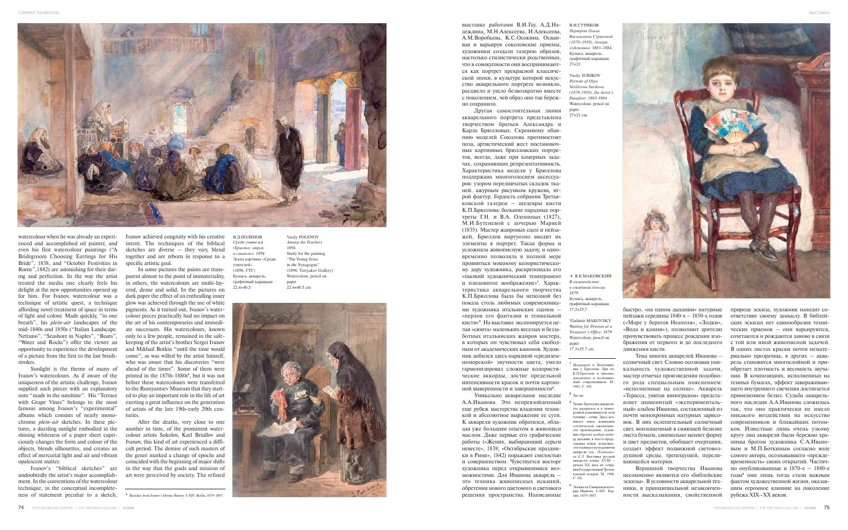

В.И. СУРИКОВ

watercolour when he was already an experienced and accomplished oil painter, and even his first watercolour paintings ("A Bridegroom Choosing Earrings for His Bride", 1838, and "October Festivities in Rome",1842) are astonishing for their daring and perfection. In the way the artist treated the media one clearly feels his delight at the new opportunities opened up for him. For Ivanov, watercolour was a technique of artistic quest, a technique affording novel treatment of space in terms of light and colour. Made quickly, "in one breath", his *plein-air* landscapes of the mid-1840s and 1850s ("Italian Landscape. Nettuno", "Seashore in Naples", "Boats", "Water and Rocks") offer the viewer an opportunity to experience the development of a picture from the first to the last brushstrokes.

Sunlight is the theme of many of Ivanov's watercolours. As if aware of the uniqueness of the artistic challenge, Ivanov supplied such pieces with an explanatory note "made in the sunshine". His "Terrace with Grape Vines" belongs to the most famous among Ivanov's "experimental" albums which consists of nearly monochrome *plein-air* sketches. In these pictures, a dazzling sunlight embodied in the shining whiteness of a paper sheet capriciously changes the form and colour of the objects, blends silhouettes, and creates an effect of mercurial light and air and vibrant opalescent matter.

Ivanov's "biblical sketches" are undoubtedly the artist's major accomplishment. In the conventions of the watercolour technique, in the conceptual incompleteness of statement peculiar to a sketch,

Ivanov achieved congruity with his creative intent. The techniques of the biblical sketches are diverse – they vary, blend together and are reborn in response to a specific artistic goal.

In some pictures the paints are transparent almost to the point of immateriality, in others, the watercolours are multi-layered, dense and solid. In the pictures on dark paper the effect of an enthralling inner glow was achieved through the use of white pigments. As it turned out, Ivanov's watercolour pieces practically had no impact on the art of his contemporaries and immediate successors. His watercolours, known only to a few people, remained in the safekeeping of the artist's brother Sergei Ivanov and Mikhail Botkin "until the time would come", as was willed by the artist himself, who was aware that his discoveries "were ahead of the times". Some of them were printed in the 1870s-1880s **4** , but it was not before these watercolours were transferred to the Rumyantsev Museum that they started to play an important role in the life of art exerting a great influence on the generation of artists of the late 19th-early 20th centuries.

After the deaths, very close to one another in time, of the prominent watercolour artists Sokolov, Karl Briullov and Ivanov, this kind of art experienced a difficult period. The demise of such masters of the genre marked a change of epochs and coincided with the beginning of major shifts in the way that the goals and mission of art were perceived by society. The refined

выставке работами В.И.Гау, А.Д.Надеждина, М.Н.Алексеева, И.Алексеева, А.М.Воробьева, К.С.Осокина. Осваивая и варьируя соколовские приемы, художники создали галерею образов, настолько стилистически родственных, что в совокупности они воспринимаются как портрет прекрасной классической эпохи, в культуре которой искусство акварельного портрета возникло, расцвело и ушло безвозвратно вместе с поколением, чей образ оно так бережно сохранило.

Другая самостоятельная линия акварельного портрета представлена творчеством братьев Александра и Карла Брюлловых. Скромному обаянию моделей Соколова противостоят поза, артистический жест постановочных картинных брюлловских портретов, всегда, даже при камерных задачах, сохраняющих репрезентативность. Характеристика модели у Брюллова поддержана многоголосием аксессуаров: узором переливчатых складок тканей, ажурным рисунком кружева, игрой фактур. Гордость собрания Третьяковской галереи – шедевры кисти К.П.Брюллова: большие парадные портреты Г.Н. и В.А. Олениных (1827), М.И.Бутеневой с дочерью Марией (1835). Мастер жанровых сцен и пейзажей, Брюллов виртуозно вводит их элементы в портрет. Такая форма и усложняла живописную задачу, и одновременно позволяла в полной мере проявиться мощному колористическому дару художника, раскрепощала его «пылкий художнический темперамент и плодовитое воображение» **1** . Характеристика акварельного творчества К.П.Брюллова была бы неполной без показа столь любимых современниками художника итальянских сценок – «перлов его фантазии и гениальной кисти» **2** . На выставке экспонируется целая «сюита» маленьких веселых и беззаботных итальянских жанров мастера, в которых он чувствовал себя свободным от академических канонов. Художник добился здесь нарядной «средиземноморской» звучности цвета, умело гармонизировал сложные колористические аккорды, достиг предельной интенсивности красок и почти картинной выверенности и завершенности**3**.

Уникально акварельное наследие А.А.Иванова. Это непревзойденный еще рубеж мастерства владения техникой и абсолютное выражение ее сути. К акварели художник обратился, обладая уже большим опытом в живописи маслом. Даже первые его графические работы («Жених, выбирающий серьги невесте», 1838; «Октябрьские праздники в Риме», 1842) поражают смелостью и совершенством. Чувствуется восторг художника перед открывшимися возможностями. Для Иванова акварель – это техника живописных исканий, обретения нового цветового и светового решения пространства. Написанные

быстро, «на одном дыхании» натурные пейзажи середины 1840-х – 1850-х годов («Море у берегов Неаполя», «Лодки», «Вода и камни»), позволяют зрителю прочувствовать процесс рождения изображения от первого и до последнего движения кисти.

Тема многих акварелей Иванова – солнечный свет. Словно осознавая уникальность художественной задачи, мастер отмечал произведения подобного рода специальным пояснением: «исполненные на солнце». Акварель «Терасса, увитая виноградом» представляет знаменитый «экспериментальный» альбом Иванова, составленный из почти монохромных натурных зарисовок. В них ослепительный солнечный свет, воплощенный в сияющей белизне листа бумаги, своевольно меняет форму и цвет предметов, обобщает очертания, создает эффект подвижной световоздушной среды, трепещущей, переливающейся материи.

Вершиной творчества Иванова несомненно являются его «библейские эскизы». В условности акварельной техники, в принципиальной незаконченности высказывания, свойственной природе эскиза, художник находит соответствие своему замыслу. В библейских эскизах нет единообразия технических приемов – они варьируются, сочетаются и рождаются заново в связи с той или иной живописной задачей. В одних листах краски почти нематериально прозрачны, в других – акварель становится многослойной и приобретает плотность и весомость звучания. В композициях, исполненных на темных бумагах, эффект завораживающего внутреннего свечения достигается применением белил. Судьба акварельного наследия А.А.Иванова сложилась так, что оно практически не имело никакого воздействия на искусство современников и ближайших потомков. Известные лишь очень узкому кругу лиц акварели были бережно хранимы братом художника С.А.Ивановым и М.П.Боткиным согласно воле самого автора, осознававшего «преждевременность» своих открытий. Частично опубликованные в 1870-е – 1880-е годы **<sup>4</sup>** они лишь тогда стали важным фактом художественной жизни, оказавшим огромное влияние на поколение рубежа XIX–ХХ веков.

- **<sup>1</sup>** *Мокрицкий А*. Воспоминания о Брюллове. Цит по: К.П.Брюллов в письмах, документах и воспомин ниях современников. М., 1961. С. 148.
- **<sup>2</sup>** Там же.
- **<sup>3</sup>** Талант Брюллова-акварелиста раскрылся и в монохромной разновидности этой техники – сепии. Здесь возникает новое пони эстетической законченно сти произведения, художник обретает особую свобо ду дыхания, в чем-то предугадывая новые возможно сти техники и пути развити акварели (см.: Плотник  $\overline{a}$ *α*  $\overline{F}$   $\overline{H}$  **Выставка** *pycckoi* акварели конца XVIII – начала ХХ века из собрания Государственной Третьяковской галереи. М., 1966. С. 16).
- **<sup>4</sup>** Эскизы из Священной истории Иванова. I–XIV. Берлин, 1879–1887.

**<sup>4</sup>** Sketches from Ivanov's Divine History. I–XIV. Berlin, 1879–1887.

В.Д.ПОЛЕНОВ *Среди учителей (Христос отрок в синагоге).* 1894 Эскиз картины «Среди учителей» (1896, ГТГ) Бумага, акварель, графитный карандаш 22,4 ×40,5

Vasily POLENOV *Among the Teachers* 1894 Study for the painting "The Young Jesus in the Synagogue (1896. Tretyakov Gallery) Watercolour, pencil on paper 22.4 ×40.5 cm



- В.Е.МАКОВСКИЙ *В казначействе в ожидании пенсии* 1879 Бумага, акварель, графитный карандаш 17,3 ×25,7

Vladimir MAKOVSKY *Waiting for Pension at a Treasurer's Office.* 1879 Watercolour, pencil on paper

17.3 ×25.7 cm

*Портрет Ольги Васильевны Суриковой (1878* –*1958), дочери художника.* 1883–1884 Бумага, акварель, графитный карандаш 27 ×21

Vasily SURIKOV *Portrait of Olga Vasilievna Surikova (1878-1958), the Artist's Daughter.* 1883-1884 Watercolour, pencil on paper 27 ×21 cm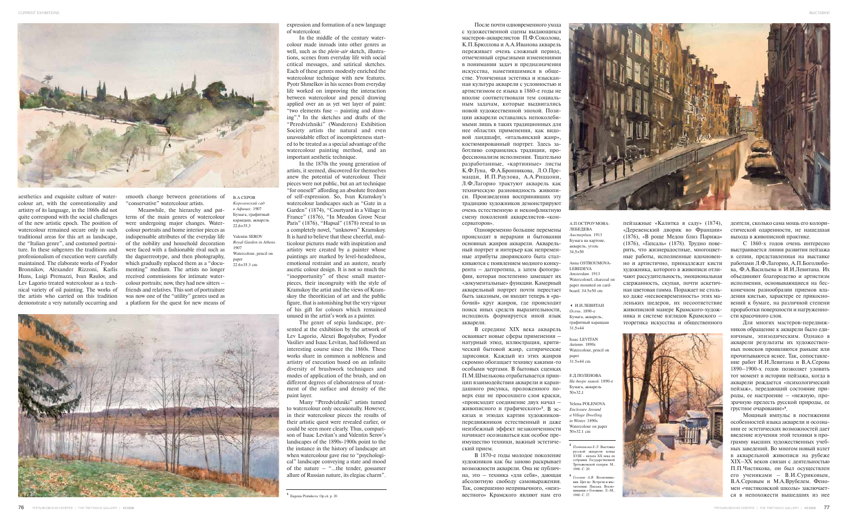



aesthetics and exquisite culture of watercolour art, with the conventionality and artistry of its language, in the 1860s did not quite correspond with the social challenges of the new artistic epoch. The position of watercolour remained secure only in such traditional areas for this art as landscape, the "Italian genre", and costumed portraiture. In these subgenres the traditions and professionalism of execution were carefully maintained. The elaborate works of Fyodor Bronnikov, Alexander Rizzoni, Karlis Huns, Luigi Premazzi, Ivan Raulov, and Lev Lagorio treated watercolour as a technical variety of oil painting. The works of the artists who carried on this tradition demonstrate a very naturally occurring and

smooth change between generations of "conservative" watercolour artists.

Meanwhile, the hierarchy and patterns of the main genres of watercolour were undergoing major changes. Watercolour portraits and home interior pieces as indispensable attributes of the everyday life of the nobility and household decoration were faced with a fashionable rival such as the daguerreotype, and then photography, which gradually replaced them as a "documenting" medium. The artists no longer received commissions for intimate watercolour portraits; now, they had new sitters – friends and relatives. This sort of portraiture was now one of the "utility" genres used as a platform for the quest for new means of

expression and formation of a new language of watercolour.

In the middle of the century watercolour made inroads into other genres as well, such as the *plein-air* sketch, illustrations, scenes from everyday life with social critical messages, and satirical sketches. Each of these genres modestly enriched the watercolour technique with new features. Pyotr Shmelkov in his scenes from everyday life worked on improving the interaction between watercolour and pencil drawing applied over an as yet wet layer of paint: "two elements fuse – painting and drawing".**<sup>5</sup>** In the sketches and drafts of the "Peredvizhniki" (Wanderers) Exhibition Society artists the natural and even unavoidable effect of incompleteness started to be treated as a special advantage of the watercolour painting method, and an important aesthetic technique.

In the 1870s the young generation of artists, it seemed, discovered for themselves anew the potential of watercolour. Their pieces were not public, but an art technique "for oneself" affording an absolute freedom of self-expression. So, Ivan Kramskoy's watercolour landscapes such as "Gate in a Garden" (1874), "Courtyard in a Village in France" (1876), "In Meudon Grove Near Paris" (1876), "Hapsal" (1878) reveal to us a completely novel, "unknown" Kramskoy. It is hard to believe that these cheerful, multicolour pictures made with inspiration and artistry were created by a painter whose paintings are marked by level-headedness, emotional restraint and an austere, nearly ascetic colour design. It is not so much the "inopportunity" of these small masterpieces, their incongruity with the style of Kramskoy the artist and the views of Kramskoy the theoritician of art and the public figure, that is astonishing but the very vigour of his gift for colours which remained unused in the artist's work as a painter.

The genre of sepia landscape, presented at the exhibition by the artwork of Lev Lagorio, Alexei Bogolyubov, Fyodor Vasiliev and Isaac Levitan, had followed an interesting course since the 1860s. These works share in common a nobleness and artistry of execution based on an infinite diversity of brushwork techniques and modes of application of the brush, and on different degrees of elaborateness of treatment of the surface and density of the paint layer.

Many "Peredvizhniki" artists turned to watercolour only occasionally. However, in their watercolour pieces the results of their artistic quest were revealed earlier, or could be seen more clearly. Thus, comparison of Isaac Levitan's and Valentin Serov's landscapes of the 1890s-1900s point to the the instance in the history of landscape art when watercolour gave rise to "psychological" landscape conveying a state and mood of the nature – "…the tender, gossamer allure of Russian nature, its elegiac charm".

- **<sup>5</sup>** *Плотникова Е.Л.* Выставка русской акварели конца XVIII – начала ХХ века из собрания Государственной Третьяковской галереи. М., 1966. С. 20.
- **<sup>6</sup>** *Головин А.Я.* Воспоминания. Цит по: Встречи и впечатления. Письма. Воспоминания о Головине. Л.–М.<br>1960. С. 27.

В.А.СЕРОВ *Королевский сад в Афинах.* 1907 Бумага, графитный карандаш, акварель  $22.6\times35.3$ 

> Е. П. ПОЛЕНОВА *На дворе зимой.* 1890-е Бумага, акварель 50×32,1

После почти одновременного ухода с художественной сцены выдающихся мастеров-акварелистов П.Ф.Соколова, К.П.Брюллова и А.А.Иванова акварель переживает очень сложный период, отмеченный серьезными изменениями в понимании задач и предназначения искусства, наметившимися в обществе. Утонченная эстетика и изысканная культура акварели с условностью и артистизмом ее языка в 1860-е годы не вполне соответствовали тем социальным задачам, которые выдвигались новой художественной эпохой. Позиции акварели оставались непоколебимыми лишь в таких традиционных для нее областях применения, как видовой ландшафт, «итальянский жанр», костюмированный портрет. Здесь заботливо сохранялись традиции, профессионализм исполнения. Тщательно разработанные, «картинные» листы К.Ф.Гуна, Ф.А.Бронникова, Л.О.Премацци, И.П.Раулова, А.А.Риццони, Л.Ф.Лагорио трактуют акварель как техническую разновидность живописи. Произведения воспринявших эту традицию художников демонстрируют очень естественную и неконфликтную смену поколений акварелистов-«консерваторов».

Одновременно большие перемены происходят в иерархии и бытовании основных жанров акварели. Акварельный портрет и интерьер как непременные атрибуты дворянского быта сталкиваются с появлением модного конкурента – даггеротипа, а затем фотографии, которая постепенно замещает их «документальные» функции. Камерный акварельный портрет почти перестает быть заказным, он входит теперь в «рабочий» круг жанров, где происходит поиск иных средств выразительности, исподволь формируется иной язык акварели.

В середине XIX века акварель осваивает новые сферы применения – натурный этюд, иллюстрация, критический бытовой жанр, сатирические зарисовки. Каждый из этих жанров скромно обогащает технику какими-то особыми чертами. В бытовых сценках П.М.Шмелькова отрабатывается принцип взаимодействия акварели и карандашного рисунка, проложенного поверх еще не просохшего слоя краски, «происходит соединение двух начал – живописного и графического»**<sup>5</sup>** . В эскизах и этюдах картин художниковпередвижников естественный и даже неизбежный эффект незаконченности начинает осознаваться как особое преимущество техники, важный эстетический прием.

пейзажные «Калитка в саду» (1874), «Деревенский дворик во Франции» (1876), «В роще Медон близ Парижа» (1876), «Гапсаль» (1878). Трудно поверить, что жизнерадостные, многоцветные работы, исполненные вдохновенно и артистично, принадлежат кисти художника, которого в живописи отличают рассудительность, эмоциональная сдержанность, скупая, почти аскетичная цветовая гамма. Поражает не столько даже «несвоевременность» этих маленьких шедеров, их несоответствие живописной манере Крамского-художника и системе взглядов Крамского – теоретика искусства и общественного



деятеля, сколько сама мощь его колористической одаренности, не нашедшая выхода в живописной практике.

С 1860-х годов очень интересно выстраивается линия развития пейзажа в сепии, представленная на выставке работами Л.Ф.Лагорио, А.П.Боголюбова, Ф.А.Васильева и И.И.Левитана. Их объединяют благородство и артистизм исполнения, основывающиеся на бесконечном разнообразии приемов владения кистью, характере ее прикосновений к бумаге, на различной степени проработки поверхности и нагруженности красочного слоя.

В 1870-е годы молодое поколение художников как бы заново раскрывает возможности акварели. Она не публична, это – техника «для себя», дающая абсолютную свободу самовыражения. Так, совершенно непривычного, «неизвестного» Крамского являют нам его 1960. С. 27. **<sup>5</sup>** Eugenia Plotnikova. Op.cit. p. 20.

Для многих мастеров-передвижников обращение к акварели было единичным, эпизодическим. Однако в акварели результаты их художественных поисков проявляются раньше или прочитываются яснее. Так, сопоставление работ И.И.Левитана и В.А.Серова 1890–1900-х годов позволяет уловить тот момент в истории пейзажа, когда в акварели рождается «психологический пейзаж», передающий состояние природы, ее настроение – «нежную, прозрачную прелесть русской природы, ее грустное очарование»**<sup>6</sup>** .

Мощный импульс в постижении особенностей языка акварели и осознании ее эстетических возможностей дает введение изучения этой техники в программу высших художественных учебных заведений. Во многом новый взлет в акварельной живописи на рубеже ХIХ–XX веков связан с деятельностью П.П.Чистякова, он был осуществлен его учениками – В.И.Суриковым, В.А.Серовым и М.А.Врубелем. Феномен «чистяковской школы» заключается в непохожести вышедших из нее

Valentin SEROV *Royal Garden in Athens.* 1907 Watercolour, pencil on paper 22.6×35.3 cm



### - И.И.ЛЕВИТАН

*Осень.* 1890-е Бумага, акварель, графитный карандаш 31,5×44

Isaac LEVITAN *Autumn.* 1890s Watercolour, pencil on paper 31.5×44 cm

### А.П.ОСТРОУМОВА-ЛЕБЕДЕВА *Амстердам*. 1913 Бумага на картоне, акварель, уголь 34,5×50

Anna OSTROUMOVA-LEBEDEVA *Amsterdam*. 1913 Watercolourl, charcoal or paper mounted on cardboard. 34.5×50 cm

Yelena POLENOVA *Enclosure Around a Village Dwelling in Winter.* 1890s Watercolour on paper 50×32.1 cm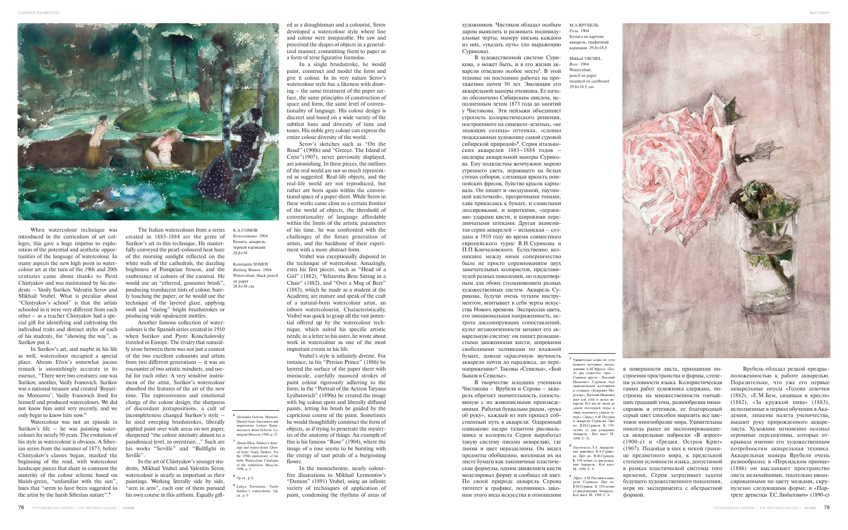

художников. Чистяков обладал особым даром выявлять и развивать индивидуальные черты, манеру письма каждого из них, «указать путь» (по выражению Сурикова).

В художественной системе Сурикова, а может быть, и в его жизни акварели отведено особое место**<sup>7</sup>** . В этой технике он постоянно работал на протяжении почти 50 лет. Эволюция его акварельной манеры очевидна. Ее начало обозначено Сибирским циклом, исполненным летом 1873 года до занятий у Чистякова. Эти пейзажи объединяет строгость колористического решения, построенного на синевато-зеленых, «не знающих солнца» оттенках, «словно подсказанных художнику самой суровой сибирской природой»**<sup>8</sup>** . Серия итальянских акварелей 1883–1884 годов – шедевры акварельной манеры Сурикова. Ему подвластны жемчужное марево утреннего света, играющего на белых стенах соборов, слепящая яркость помпейских фресок, буйство красок карнавала. Он пишет и «воздушной, паутинной кисточкой», прозрачными тонами, едва прикасаясь к бумаге, и слоистыми лессировками, и короткими, «дерзкими» ударами кисти, и широкими переливчатыми затеками. Другая знаменитая серия акварелей – испанская – создана в 1910 году во время совместного европейского турне В.И.Сурикова и П.П.Кончаловского. Естественно возникшее между ними соперничество было не просто соревнованием двух замечательных колористов, представителей разных поколений, но плодотворным для обоих столкновением разных художественных систем. Акварель Сурикова, будучи очень чутким инструментом, впитывает в себя черты искусства Нового времени. Экспрессия цвета, его эмоциональная напряженность, острота диссонирующих сопоставлений, культ незаконченности меняют его акварельную систему: он пишет размашистыми движениями кисти, широкими свободными заливками по влажной бумаге, доводя «красочную звучность акварели почти до парадокса, до перенапряжения»**<sup>9</sup>** . Таковы «Севилья», «Бой быков в Севилье».

В творчестве младших учеников Чистякова – Врубеля и Серова – акварель обретает значительность, сопоставимую с их живописными произведениями. Работая буквально рядом, «рука об руку», каждый из них прошел собственный путь в акварели. Одаренный одинаково щедро талантом рисовальщика и колориста Серов выработал такую систему письма акварелью, где линия и цвет неразделимы. Он видел предметы обобщенно, воплощая их на листе бумаги как лаконичные пластические формулы, одним движением кисти моделировал форму и сообщал ей цвет. По своей природе акварель Серова тяготеет к графике, подчиняясь законам этого вида искусства в отношении

к поверхности листа, принципам построения пространства и формы, степени условности языка. Колористическая гамма работ художника сдержана, построена на множественности тончайших градаций тона, разнообразии нюансировок и оттенков, ее благородный серый цвет способен выразить все цветовое многообразие мира. Удивительны никогда ранее не экспонировавшиеся акварельные наброски «В дороге» (1900-е) и «Греция. Остров Крит» (1907). Подойдя в них к некой границе предметного мира, к предельной степени условности языка, допустимой в рамках пластической системы того времени, Серов затрагивает задачи будущего художественного поколения, нерв их эксперимента с абстрактной формой.

Врубель обладал редкой предрасположенностью к работе акварелью. Поразительно, что уже его первые акварельные опусы «Голова девочки (1882), «Е.М.Бем, сидящая в кресле» (1882), «За кружкой пива» (1883), исполненные в период обучения в Академии, лишены налета ученичества, выдают руку прирожденного акварелиста. Художник мгновенно осознал огромные перспективы, которые открывала именно его художественным потребностям акварельная техника. Акварельная манера Врубеля очень разнообразна: в «Персидском принце» (1886) он выслаивает пространство листа мельчайшими, тщательно нюансированными по цвету мазками, скрупулезно следующими форме; в «Портрете артистки Т.С.Любатович» (1890-е)

When watercolour technique was introduced in the curriculum of art colleges, this gave a huge impetus to exploration of the potential and aesthetic opportunities of the language of watercolour. In many aspects the new high point in watercolour art at the turn of the 19th and 20th centuries came about thanks to Pavel Chistyakov and was maintained by his students – Vasily Surikov, Valentin Serov and Mikhail Vrubel. What is peculiar about "Chistyakov's school" is that the artists schooled in it were very different from each other – as a teacher Chistyakov had a special gift for identifying and cultivating the individual traits and distinct styles of each of his students, for "showing the way", as Surikov put it.

In Surikov's art, and maybe in his life as well, watercolour occupied a special place. Abram Efros's somewhat jocose remark is astonishingly accurate in its essence, "There were two creatures: one was Surikov, another, Vasily Ivanovich. Surikov was a national treasure and created 'Boyarina Morozova'; Vasily Ivanovich lived for himself and produced watercolours. We did not know him until very recently, and we only begin to know him now."

Watercolour was not an episode in Surikov's life – he was painting watercolours for nearly 50 years. The evolution of his style in watercolour is obvious. A Siberian series from the summer of 1873, before Chistyakov's classes began, marked the beginning of the road, with watercolour landscape pieces that share in common the austerity of the colour scheme based on bluish-green, "unfamiliar with the sun", hues that "seem to have been suggested to the artist by the harsh Siberian nature".**<sup>9</sup>**

The Italian watercolours from a series created in 1883-1884 are the gems of Surikov's art in this technique. He masterfully conveyed the pearl-coloured heat haze of the morning sunlight reflected on the white walls of the cathedrals, the dazzling brightness of Pompeian frescos, and the exuberance of colours of the carnival. He would use an "ethereal, gossamer brush", producing translucent tints of colour, barely touching the paper; or he would use the technique of the layered glaze, applying swift and "daring" bright brushstrokes or producing wide opalescent mottles.

Another famous collection of watercolours is the Spanish series created in 1910 when Surikov and Pyotr Konchalovsky traveled in Europe. The rivalry that naturally arose between them was not just a contest of the two excellent colourists and artists from two different generations – it was an encounter of two artistic mindsets, and useful for each other. A very sensitive instrument of the artist, Surikov's watercolour absorbed the features of the art of the new time. The expressiveness and emotional charge of the colour design, the sharpness of discordant juxtapositions, a cult of incompleteness changed Surikov's style – he used sweeping brushstrokes, liberally applied paint over wide areas on wet paper, sharpened "the colour intensity almost to a paradoxical level, to overstrain…" Such are his works "Seville" and "Bullfight in Seville".

In the art of Chistyakov's younger students, Mikhail Vrubel and Valentin Serov, watercolour is nearly as important as their paintings. Working literally side by side, "arm in arm", each one of them pursued his own course in this artform. Equally gift-

ed as a draughtsman and a colourist, Serov developed a watercolour style where line and colour were inseparable. He saw and perceived the shapes of objects in a generalized manner, committing them to paper in a form of terse figurative formulas.

In a single brushstroke, he would paint, construct and model the form and give it colour. In its very nature Serov's watercolour style has a likeness with drawing – the same treatment of the paper surface, the same principles of construction of space and form, the same level of conventionality of language. His colour design is discreet and based on a wide variety of the subtlest hues and diversity of tints and tones. His noble grey colour can express the entire colour diversity of the world.

Serov's sketches such as "On the Road" (1900s) and "Greece. The Island of Crete"(1907), never previously displayed, are astonishing. In these pieces, the outlines of the real world are not so much represented as suggested. Real-life objects, and the real-life world are not reproduced, but rather are born again within the conventional space of a paper sheet. While Serov in these works came close to a certain frontier of the world of objects, the threshold of conventionality of language affordable within the limits of the artistic parameters of his time, he was confronted with the challenges of the future generation of artists, and the backbone of their experiment with a more abstract form.

Vrubel was exceptionally disposed to the technique of watercolour. Amazingly, even his first pieces, such as "Head of a Girl" (1882), "Yelizaveta Bem Sitting in a Chair" (1882), and "Over a Mug of Beer" (1883), which he made as a student at the Academy, are mature and speak of the craft of a natural-born watercolour artist, an inborn watercolourist. Characteristically, Vrubel was quick to grasp all the vast potential offered up by the watercolour technique, which suited his specific artistic needs; in a letter to his sister, he wrote about work in watercolour as one of the most important events in his life.

Vrubel's style is infinitely diverse. For instance, in his "Persian Prince" (1886) he layered the surface of the paper sheet with miniscule, carefully nuanced strokes of paint colour rigorously adhering to the form; in the "Portrait of the Actress Tatyana Lyubatovich" (1890s) he created the image with big colour spots and liberally diffused paints, letting his brush be guided by the capricious course of the paint. Sometimes he would thoughtfully construct the form of objects, as if trying to penetrate the mysteries of the anatomy of things. An example of this is his famous "Rose" (1904), where the image of a rose seems to be bursting with the energy of taut petals of a burgeoning flower.

In the monochrome, nearly colourfree illustrations to Mikhail Lermontov's "Demon" (1891) Vrubel, using an infinite variety of techniques of application of paint, condensing the rhythms of areas of

**<sup>7</sup>** Удивительно верно по сути немного шутливое высказывание А.М.Эфроса: «Было два существа: одно – Суриков, другое – Василий Иванович. Суриков был национальным достоянием и создавал «Боярыню Морозову»; Василий Иванович жил для себя и делал акварели. Его мы не знали до самой последней поры и лишь понемногу узнаем те-перь» (*Эфрос А.М.* Рисунки и акварели Сурикова. Цит по: В.И.Суриков. К 150 летию со дня рождени Акварель : Кат. выст. М., 1998. С. 5).

- **<sup>8</sup>** *Торстенсен Л.А.* Акварельная живопись В.А.Сурикова. Цит по: В.И.Суриков. К 150-летию со дня рождения. Акварель : Кат. выст. М., 1998. С. 9.
- **<sup>9</sup>** *Эфрос А.М.* Рисунки и акварели Сурикова. Цит по: В.И.Суриков. К 150-летию со дня рождения. Акварель : Кат. выст. М., 1998. С. 6.

**<sup>6</sup>** Alexander Golovin. Memoirs. Quoted from: Encounters and impressions. Letters. Reminiscences about Golovin. Le-ningrad-Moscow, 1960, p. 27. **<sup>7</sup>** Abram Efros. Surikov's drawings and watercolours. Quot-ed from: Vasily Surikov. For the 150th anniversary of his birth. Watercolour. Catalogue of the exhibition. Moscow,

1998, p. 5. **<sup>8</sup>** Op.cit., p. 6.

**<sup>9</sup>** Lidiya Torstensen. Vasily Surikov's watercolours. Op.

cit., p. 9.

К.А.СОМОВ *Купальщицы.* 1904 Бумага, акварель, черный карандаш 28,8×38

Konstantin SOMOV *Bathing Women.* 1904 Watercolour, black pencil on paper 28.8×38 cm

М.А.ВРУБЕЛЬ *Роза*. 1904 Бумага на картоне акварель, графитный карандаш. 29,8×18,5

Mikhail VRUBEL *Rose.* 1904 Watercolour pencil on paper mounted on cardboard. 29.8×18.5 cm